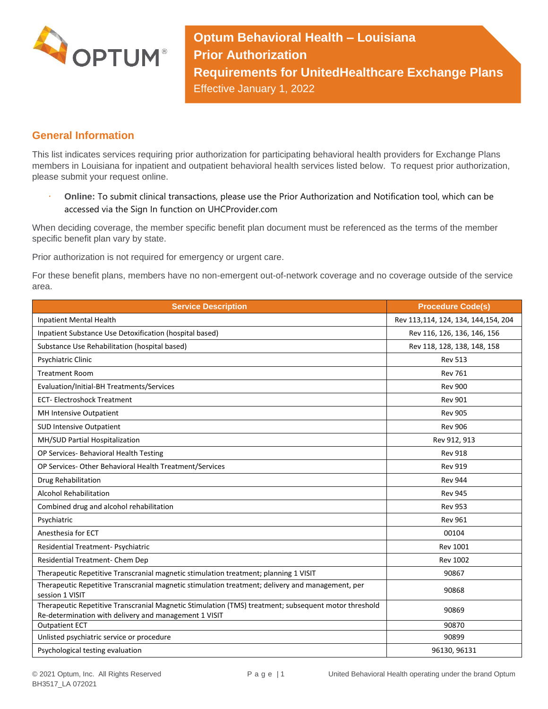

**Optum Behavioral Health – Louisiana Prior Authorization Requirements for UnitedHealthcare Exchange Plans** Effective January 1, 2022

## **General Information**

This list indicates services requiring prior authorization for participating behavioral health providers for Exchange Plans members in Louisiana for inpatient and outpatient behavioral health services listed below. To request prior authorization, please submit your request online.

 **Online:** To submit clinical transactions, please use the Prior Authorization and Notification tool, which can be accessed via the Sign In function on UHCProvider.com

When deciding coverage, the member specific benefit plan document must be referenced as the terms of the member specific benefit plan vary by state.

Prior authorization is not required for emergency or urgent care.

For these benefit plans, members have no non-emergent out-of-network coverage and no coverage outside of the service area.

| <b>Service Description</b>                                                                                                                                    | <b>Procedure Code(s)</b>            |
|---------------------------------------------------------------------------------------------------------------------------------------------------------------|-------------------------------------|
| Inpatient Mental Health                                                                                                                                       | Rev 113,114, 124, 134, 144,154, 204 |
| Inpatient Substance Use Detoxification (hospital based)                                                                                                       | Rev 116, 126, 136, 146, 156         |
| Substance Use Rehabilitation (hospital based)                                                                                                                 | Rev 118, 128, 138, 148, 158         |
| Psychiatric Clinic                                                                                                                                            | <b>Rev 513</b>                      |
| <b>Treatment Room</b>                                                                                                                                         | <b>Rev 761</b>                      |
| Evaluation/Initial-BH Treatments/Services                                                                                                                     | <b>Rev 900</b>                      |
| <b>ECT-Electroshock Treatment</b>                                                                                                                             | <b>Rev 901</b>                      |
| MH Intensive Outpatient                                                                                                                                       | <b>Rev 905</b>                      |
| <b>SUD Intensive Outpatient</b>                                                                                                                               | <b>Rev 906</b>                      |
| MH/SUD Partial Hospitalization                                                                                                                                | Rev 912, 913                        |
| OP Services- Behavioral Health Testing                                                                                                                        | <b>Rev 918</b>                      |
| OP Services- Other Behavioral Health Treatment/Services                                                                                                       | <b>Rev 919</b>                      |
| Drug Rehabilitation                                                                                                                                           | <b>Rev 944</b>                      |
| <b>Alcohol Rehabilitation</b>                                                                                                                                 | <b>Rev 945</b>                      |
| Combined drug and alcohol rehabilitation                                                                                                                      | <b>Rev 953</b>                      |
| Psychiatric                                                                                                                                                   | <b>Rev 961</b>                      |
| Anesthesia for ECT                                                                                                                                            | 00104                               |
| Residential Treatment- Psychiatric                                                                                                                            | <b>Rev 1001</b>                     |
| Residential Treatment- Chem Dep                                                                                                                               | <b>Rev 1002</b>                     |
| Therapeutic Repetitive Transcranial magnetic stimulation treatment; planning 1 VISIT                                                                          | 90867                               |
| Therapeutic Repetitive Transcranial magnetic stimulation treatment; delivery and management, per<br>session 1 VISIT                                           | 90868                               |
| Therapeutic Repetitive Transcranial Magnetic Stimulation (TMS) treatment; subsequent motor threshold<br>Re-determination with delivery and management 1 VISIT | 90869                               |
| <b>Outpatient ECT</b>                                                                                                                                         | 90870                               |
| Unlisted psychiatric service or procedure                                                                                                                     | 90899                               |
| Psychological testing evaluation                                                                                                                              | 96130, 96131                        |